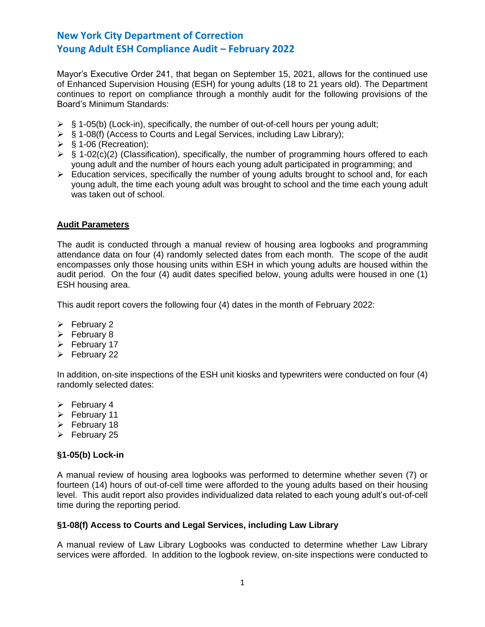Mayor's Executive Order 241, that began on September 15, 2021, allows for the continued use of Enhanced Supervision Housing (ESH) for young adults (18 to 21 years old). The Department continues to report on compliance through a monthly audit for the following provisions of the Board's Minimum Standards:

- $\triangleright$  § 1-05(b) (Lock-in), specifically, the number of out-of-cell hours per young adult;
- ➢ § 1-08(f) (Access to Courts and Legal Services, including Law Library);
- $\triangleright$  § 1-06 (Recreation);
- $\triangleright$  § 1-02(c)(2) (Classification), specifically, the number of programming hours offered to each young adult and the number of hours each young adult participated in programming; and
- ➢ Education services, specifically the number of young adults brought to school and, for each young adult, the time each young adult was brought to school and the time each young adult was taken out of school.

## **Audit Parameters**

The audit is conducted through a manual review of housing area logbooks and programming attendance data on four (4) randomly selected dates from each month. The scope of the audit encompasses only those housing units within ESH in which young adults are housed within the audit period. On the four (4) audit dates specified below, young adults were housed in one (1) ESH housing area.

This audit report covers the following four (4) dates in the month of February 2022:

- ➢ February 2
- ➢ February 8
- ➢ February 17
- $\triangleright$  February 22

In addition, on-site inspections of the ESH unit kiosks and typewriters were conducted on four (4) randomly selected dates:

- ➢ February 4
- ➢ February 11
- ➢ February 18
- ➢ February 25

#### **§1-05(b) Lock-in**

A manual review of housing area logbooks was performed to determine whether seven (7) or fourteen (14) hours of out-of-cell time were afforded to the young adults based on their housing level. This audit report also provides individualized data related to each young adult's out-of-cell time during the reporting period.

#### **§1-08(f) Access to Courts and Legal Services, including Law Library**

A manual review of Law Library Logbooks was conducted to determine whether Law Library services were afforded. In addition to the logbook review, on-site inspections were conducted to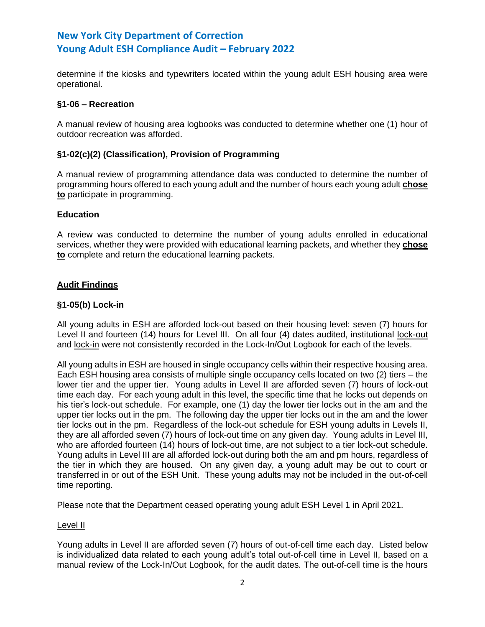determine if the kiosks and typewriters located within the young adult ESH housing area were operational.

## **§1-06 – Recreation**

A manual review of housing area logbooks was conducted to determine whether one (1) hour of outdoor recreation was afforded.

## **§1-02(c)(2) (Classification), Provision of Programming**

A manual review of programming attendance data was conducted to determine the number of programming hours offered to each young adult and the number of hours each young adult **chose to** participate in programming.

## **Education**

A review was conducted to determine the number of young adults enrolled in educational services, whether they were provided with educational learning packets, and whether they **chose to** complete and return the educational learning packets.

## **Audit Findings**

## **§1-05(b) Lock-in**

All young adults in ESH are afforded lock-out based on their housing level: seven (7) hours for Level II and fourteen (14) hours for Level III. On all four (4) dates audited, institutional lock-out and lock-in were not consistently recorded in the Lock-In/Out Logbook for each of the levels.

All young adults in ESH are housed in single occupancy cells within their respective housing area. Each ESH housing area consists of multiple single occupancy cells located on two (2) tiers – the lower tier and the upper tier. Young adults in Level II are afforded seven (7) hours of lock-out time each day. For each young adult in this level, the specific time that he locks out depends on his tier's lock-out schedule. For example, one (1) day the lower tier locks out in the am and the upper tier locks out in the pm. The following day the upper tier locks out in the am and the lower tier locks out in the pm. Regardless of the lock-out schedule for ESH young adults in Levels II, they are all afforded seven (7) hours of lock-out time on any given day. Young adults in Level III, who are afforded fourteen (14) hours of lock-out time, are not subject to a tier lock-out schedule. Young adults in Level III are all afforded lock-out during both the am and pm hours, regardless of the tier in which they are housed. On any given day, a young adult may be out to court or transferred in or out of the ESH Unit. These young adults may not be included in the out-of-cell time reporting.

Please note that the Department ceased operating young adult ESH Level 1 in April 2021.

#### Level II

Young adults in Level II are afforded seven (7) hours of out-of-cell time each day. Listed below is individualized data related to each young adult's total out-of-cell time in Level II, based on a manual review of the Lock-In/Out Logbook, for the audit dates. The out-of-cell time is the hours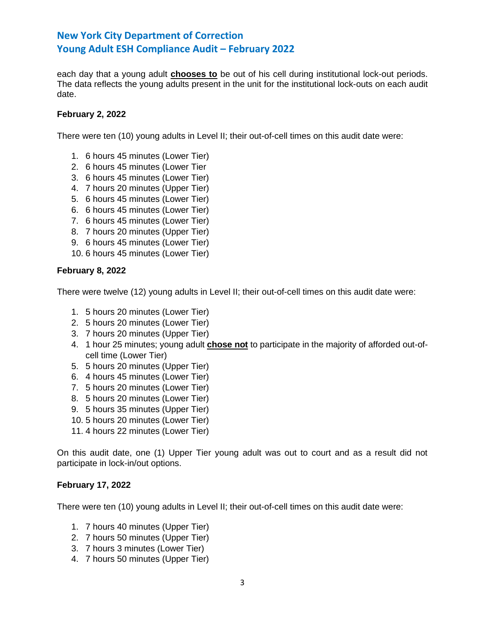each day that a young adult **chooses to** be out of his cell during institutional lock-out periods. The data reflects the young adults present in the unit for the institutional lock-outs on each audit date.

## **February 2, 2022**

There were ten (10) young adults in Level II; their out-of-cell times on this audit date were:

- 1. 6 hours 45 minutes (Lower Tier)
- 2. 6 hours 45 minutes (Lower Tier
- 3. 6 hours 45 minutes (Lower Tier)
- 4. 7 hours 20 minutes (Upper Tier)
- 5. 6 hours 45 minutes (Lower Tier)
- 6. 6 hours 45 minutes (Lower Tier)
- 7. 6 hours 45 minutes (Lower Tier)
- 8. 7 hours 20 minutes (Upper Tier)
- 9. 6 hours 45 minutes (Lower Tier)
- 10. 6 hours 45 minutes (Lower Tier)

## **February 8, 2022**

There were twelve (12) young adults in Level II; their out-of-cell times on this audit date were:

- 1. 5 hours 20 minutes (Lower Tier)
- 2. 5 hours 20 minutes (Lower Tier)
- 3. 7 hours 20 minutes (Upper Tier)
- 4. 1 hour 25 minutes; young adult **chose not** to participate in the majority of afforded out-ofcell time (Lower Tier)
- 5. 5 hours 20 minutes (Upper Tier)
- 6. 4 hours 45 minutes (Lower Tier)
- 7. 5 hours 20 minutes (Lower Tier)
- 8. 5 hours 20 minutes (Lower Tier)
- 9. 5 hours 35 minutes (Upper Tier)
- 10. 5 hours 20 minutes (Lower Tier)
- 11. 4 hours 22 minutes (Lower Tier)

On this audit date, one (1) Upper Tier young adult was out to court and as a result did not participate in lock-in/out options.

## **February 17, 2022**

There were ten (10) young adults in Level II; their out-of-cell times on this audit date were:

- 1. 7 hours 40 minutes (Upper Tier)
- 2. 7 hours 50 minutes (Upper Tier)
- 3. 7 hours 3 minutes (Lower Tier)
- 4. 7 hours 50 minutes (Upper Tier)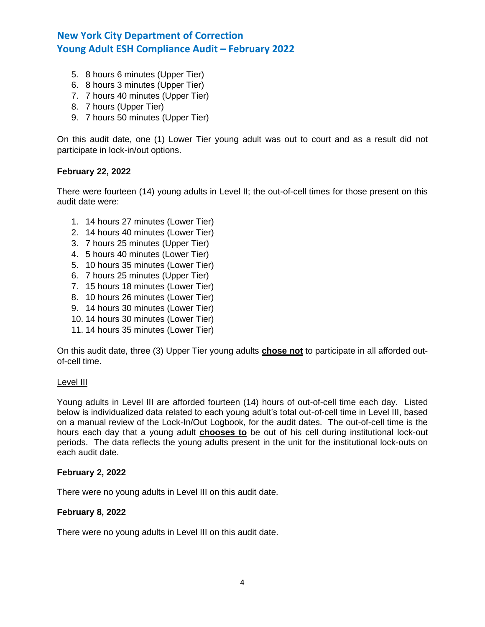- 5. 8 hours 6 minutes (Upper Tier)
- 6. 8 hours 3 minutes (Upper Tier)
- 7. 7 hours 40 minutes (Upper Tier)
- 8. 7 hours (Upper Tier)
- 9. 7 hours 50 minutes (Upper Tier)

On this audit date, one (1) Lower Tier young adult was out to court and as a result did not participate in lock-in/out options.

## **February 22, 2022**

There were fourteen (14) young adults in Level II; the out-of-cell times for those present on this audit date were:

- 1. 14 hours 27 minutes (Lower Tier)
- 2. 14 hours 40 minutes (Lower Tier)
- 3. 7 hours 25 minutes (Upper Tier)
- 4. 5 hours 40 minutes (Lower Tier)
- 5. 10 hours 35 minutes (Lower Tier)
- 6. 7 hours 25 minutes (Upper Tier)
- 7. 15 hours 18 minutes (Lower Tier)
- 8. 10 hours 26 minutes (Lower Tier)
- 9. 14 hours 30 minutes (Lower Tier)
- 10. 14 hours 30 minutes (Lower Tier)
- 11. 14 hours 35 minutes (Lower Tier)

On this audit date, three (3) Upper Tier young adults **chose not** to participate in all afforded outof-cell time.

## Level III

Young adults in Level III are afforded fourteen (14) hours of out-of-cell time each day. Listed below is individualized data related to each young adult's total out-of-cell time in Level III, based on a manual review of the Lock-In/Out Logbook, for the audit dates. The out-of-cell time is the hours each day that a young adult **chooses to** be out of his cell during institutional lock-out periods. The data reflects the young adults present in the unit for the institutional lock-outs on each audit date.

## **February 2, 2022**

There were no young adults in Level III on this audit date.

## **February 8, 2022**

There were no young adults in Level III on this audit date.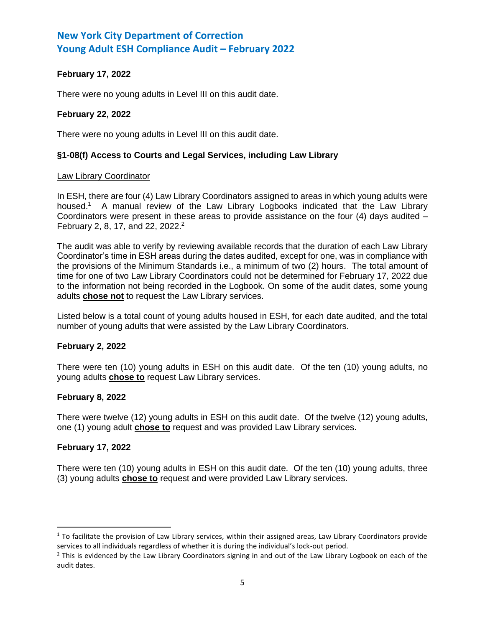# **February 17, 2022**

There were no young adults in Level III on this audit date.

## **February 22, 2022**

There were no young adults in Level III on this audit date.

## **§1-08(f) Access to Courts and Legal Services, including Law Library**

#### Law Library Coordinator

In ESH, there are four (4) Law Library Coordinators assigned to areas in which young adults were housed.<sup>1</sup> A manual review of the Law Library Logbooks indicated that the Law Library Coordinators were present in these areas to provide assistance on the four  $(4)$  days audited  $-$ February 2, 8, 17, and 22, 2022.<sup>2</sup>

The audit was able to verify by reviewing available records that the duration of each Law Library Coordinator's time in ESH areas during the dates audited, except for one, was in compliance with the provisions of the Minimum Standards i.e., a minimum of two (2) hours. The total amount of time for one of two Law Library Coordinators could not be determined for February 17, 2022 due to the information not being recorded in the Logbook. On some of the audit dates, some young adults **chose not** to request the Law Library services.

Listed below is a total count of young adults housed in ESH, for each date audited, and the total number of young adults that were assisted by the Law Library Coordinators.

#### **February 2, 2022**

There were ten (10) young adults in ESH on this audit date. Of the ten (10) young adults, no young adults **chose to** request Law Library services.

# **February 8, 2022**

There were twelve (12) young adults in ESH on this audit date. Of the twelve (12) young adults, one (1) young adult **chose to** request and was provided Law Library services.

#### **February 17, 2022**

There were ten (10) young adults in ESH on this audit date. Of the ten (10) young adults, three (3) young adults **chose to** request and were provided Law Library services.

 $1$  To facilitate the provision of Law Library services, within their assigned areas, Law Library Coordinators provide services to all individuals regardless of whether it is during the individual's lock-out period.

 $<sup>2</sup>$  This is evidenced by the Law Library Coordinators signing in and out of the Law Library Logbook on each of the</sup> audit dates.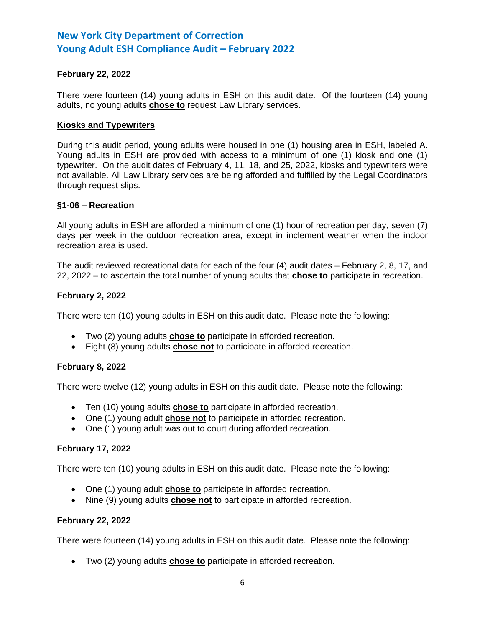## **February 22, 2022**

There were fourteen (14) young adults in ESH on this audit date. Of the fourteen (14) young adults, no young adults **chose to** request Law Library services.

#### **Kiosks and Typewriters**

During this audit period, young adults were housed in one (1) housing area in ESH, labeled A. Young adults in ESH are provided with access to a minimum of one (1) kiosk and one (1) typewriter. On the audit dates of February 4, 11, 18, and 25, 2022, kiosks and typewriters were not available. All Law Library services are being afforded and fulfilled by the Legal Coordinators through request slips.

## **§1-06 – Recreation**

All young adults in ESH are afforded a minimum of one (1) hour of recreation per day, seven (7) days per week in the outdoor recreation area, except in inclement weather when the indoor recreation area is used.

The audit reviewed recreational data for each of the four (4) audit dates – February 2, 8, 17, and 22, 2022 – to ascertain the total number of young adults that **chose to** participate in recreation.

## **February 2, 2022**

There were ten (10) young adults in ESH on this audit date. Please note the following:

- Two (2) young adults **chose to** participate in afforded recreation.
- Eight (8) young adults **chose not** to participate in afforded recreation.

#### **February 8, 2022**

There were twelve (12) young adults in ESH on this audit date. Please note the following:

- Ten (10) young adults **chose to** participate in afforded recreation.
- One (1) young adult **chose not** to participate in afforded recreation.
- One (1) young adult was out to court during afforded recreation.

## **February 17, 2022**

There were ten (10) young adults in ESH on this audit date. Please note the following:

- One (1) young adult **chose to** participate in afforded recreation.
- Nine (9) young adults **chose not** to participate in afforded recreation.

## **February 22, 2022**

There were fourteen (14) young adults in ESH on this audit date. Please note the following:

• Two (2) young adults **chose to** participate in afforded recreation.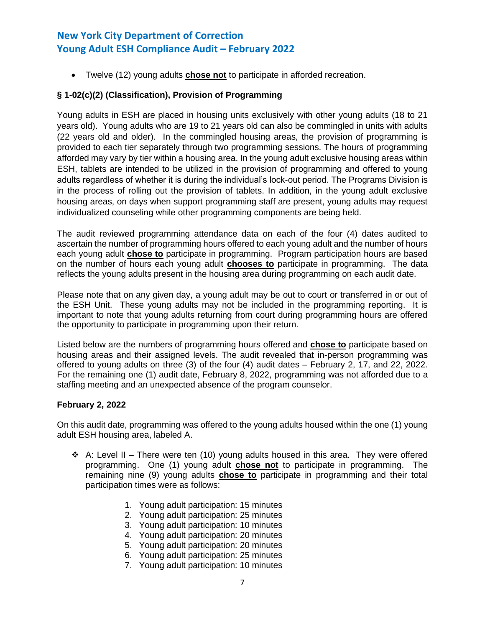• Twelve (12) young adults **chose not** to participate in afforded recreation.

# **§ 1-02(c)(2) (Classification), Provision of Programming**

Young adults in ESH are placed in housing units exclusively with other young adults (18 to 21 years old). Young adults who are 19 to 21 years old can also be commingled in units with adults (22 years old and older). In the commingled housing areas, the provision of programming is provided to each tier separately through two programming sessions. The hours of programming afforded may vary by tier within a housing area. In the young adult exclusive housing areas within ESH, tablets are intended to be utilized in the provision of programming and offered to young adults regardless of whether it is during the individual's lock-out period. The Programs Division is in the process of rolling out the provision of tablets. In addition, in the young adult exclusive housing areas, on days when support programming staff are present, young adults may request individualized counseling while other programming components are being held.

The audit reviewed programming attendance data on each of the four (4) dates audited to ascertain the number of programming hours offered to each young adult and the number of hours each young adult **chose to** participate in programming. Program participation hours are based on the number of hours each young adult **chooses to** participate in programming. The data reflects the young adults present in the housing area during programming on each audit date.

Please note that on any given day, a young adult may be out to court or transferred in or out of the ESH Unit. These young adults may not be included in the programming reporting. It is important to note that young adults returning from court during programming hours are offered the opportunity to participate in programming upon their return.

Listed below are the numbers of programming hours offered and **chose to** participate based on housing areas and their assigned levels. The audit revealed that in-person programming was offered to young adults on three (3) of the four (4) audit dates – February 2, 17, and 22, 2022. For the remaining one (1) audit date, February 8, 2022, programming was not afforded due to a staffing meeting and an unexpected absence of the program counselor.

# **February 2, 2022**

On this audit date, programming was offered to the young adults housed within the one (1) young adult ESH housing area, labeled A.

- ❖ A: Level II There were ten (10) young adults housed in this area. They were offered programming. One (1) young adult **chose not** to participate in programming. The remaining nine (9) young adults **chose to** participate in programming and their total participation times were as follows:
	- 1. Young adult participation: 15 minutes
	- 2. Young adult participation: 25 minutes
	- 3. Young adult participation: 10 minutes
	- 4. Young adult participation: 20 minutes
	- 5. Young adult participation: 20 minutes
	- 6. Young adult participation: 25 minutes
	- 7. Young adult participation: 10 minutes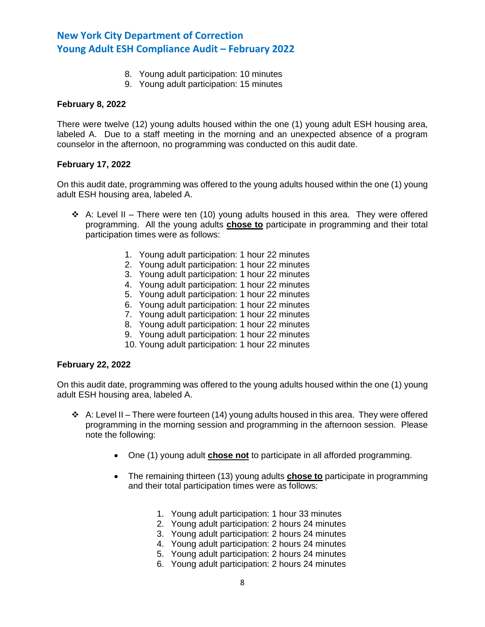- 8. Young adult participation: 10 minutes
- 9. Young adult participation: 15 minutes

#### **February 8, 2022**

There were twelve (12) young adults housed within the one (1) young adult ESH housing area, labeled A. Due to a staff meeting in the morning and an unexpected absence of a program counselor in the afternoon, no programming was conducted on this audit date.

## **February 17, 2022**

On this audit date, programming was offered to the young adults housed within the one (1) young adult ESH housing area, labeled A.

- ❖ A: Level II There were ten (10) young adults housed in this area. They were offered programming. All the young adults **chose to** participate in programming and their total participation times were as follows:
	- 1. Young adult participation: 1 hour 22 minutes
	- 2. Young adult participation: 1 hour 22 minutes
	- 3. Young adult participation: 1 hour 22 minutes
	- 4. Young adult participation: 1 hour 22 minutes
	- 5. Young adult participation: 1 hour 22 minutes
	- 6. Young adult participation: 1 hour 22 minutes
	- 7. Young adult participation: 1 hour 22 minutes
	- 8. Young adult participation: 1 hour 22 minutes
	- 9. Young adult participation: 1 hour 22 minutes
	- 10. Young adult participation: 1 hour 22 minutes

## **February 22, 2022**

On this audit date, programming was offered to the young adults housed within the one (1) young adult ESH housing area, labeled A.

- $\div$  A: Level II There were fourteen (14) young adults housed in this area. They were offered programming in the morning session and programming in the afternoon session. Please note the following:
	- One (1) young adult **chose not** to participate in all afforded programming.
	- The remaining thirteen (13) young adults **chose to** participate in programming and their total participation times were as follows:
		- 1. Young adult participation: 1 hour 33 minutes
		- 2. Young adult participation: 2 hours 24 minutes
		- 3. Young adult participation: 2 hours 24 minutes
		- 4. Young adult participation: 2 hours 24 minutes
		- 5. Young adult participation: 2 hours 24 minutes
		- 6. Young adult participation: 2 hours 24 minutes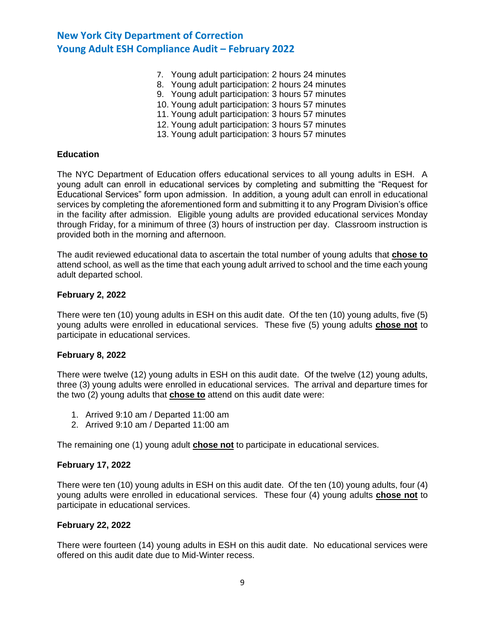- 7. Young adult participation: 2 hours 24 minutes
- 8. Young adult participation: 2 hours 24 minutes
- 9. Young adult participation: 3 hours 57 minutes
- 10. Young adult participation: 3 hours 57 minutes
- 11. Young adult participation: 3 hours 57 minutes
- 12. Young adult participation: 3 hours 57 minutes
- 13. Young adult participation: 3 hours 57 minutes

#### **Education**

The NYC Department of Education offers educational services to all young adults in ESH. A young adult can enroll in educational services by completing and submitting the "Request for Educational Services" form upon admission. In addition, a young adult can enroll in educational services by completing the aforementioned form and submitting it to any Program Division's office in the facility after admission. Eligible young adults are provided educational services Monday through Friday, for a minimum of three (3) hours of instruction per day. Classroom instruction is provided both in the morning and afternoon.

The audit reviewed educational data to ascertain the total number of young adults that **chose to** attend school, as well as the time that each young adult arrived to school and the time each young adult departed school.

## **February 2, 2022**

There were ten (10) young adults in ESH on this audit date. Of the ten (10) young adults, five (5) young adults were enrolled in educational services. These five (5) young adults **chose not** to participate in educational services.

#### **February 8, 2022**

There were twelve (12) young adults in ESH on this audit date. Of the twelve (12) young adults, three (3) young adults were enrolled in educational services. The arrival and departure times for the two (2) young adults that **chose to** attend on this audit date were:

- 1. Arrived 9:10 am / Departed 11:00 am
- 2. Arrived 9:10 am / Departed 11:00 am

The remaining one (1) young adult **chose not** to participate in educational services.

#### **February 17, 2022**

There were ten (10) young adults in ESH on this audit date. Of the ten (10) young adults, four (4) young adults were enrolled in educational services. These four (4) young adults **chose not** to participate in educational services.

#### **February 22, 2022**

There were fourteen (14) young adults in ESH on this audit date. No educational services were offered on this audit date due to Mid-Winter recess.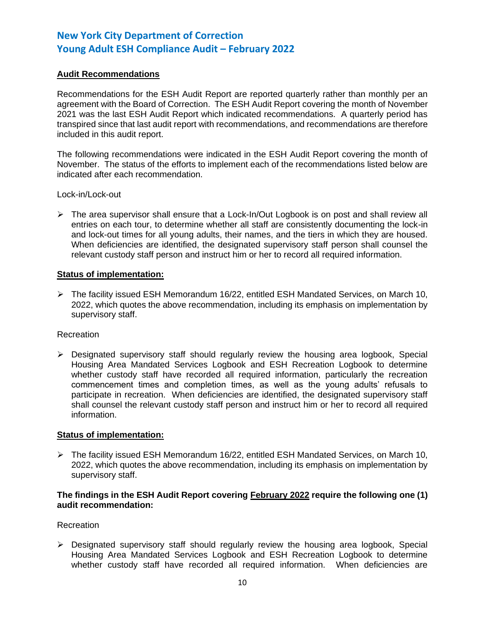## **Audit Recommendations**

Recommendations for the ESH Audit Report are reported quarterly rather than monthly per an agreement with the Board of Correction. The ESH Audit Report covering the month of November 2021 was the last ESH Audit Report which indicated recommendations. A quarterly period has transpired since that last audit report with recommendations, and recommendations are therefore included in this audit report.

The following recommendations were indicated in the ESH Audit Report covering the month of November. The status of the efforts to implement each of the recommendations listed below are indicated after each recommendation.

Lock-in/Lock-out

➢ The area supervisor shall ensure that a Lock-In/Out Logbook is on post and shall review all entries on each tour, to determine whether all staff are consistently documenting the lock-in and lock-out times for all young adults, their names, and the tiers in which they are housed. When deficiencies are identified, the designated supervisory staff person shall counsel the relevant custody staff person and instruct him or her to record all required information.

#### **Status of implementation:**

 $\triangleright$  The facility issued ESH Memorandum 16/22, entitled ESH Mandated Services, on March 10, 2022, which quotes the above recommendation, including its emphasis on implementation by supervisory staff.

#### Recreation

 $\triangleright$  Designated supervisory staff should regularly review the housing area logbook, Special Housing Area Mandated Services Logbook and ESH Recreation Logbook to determine whether custody staff have recorded all required information, particularly the recreation commencement times and completion times, as well as the young adults' refusals to participate in recreation. When deficiencies are identified, the designated supervisory staff shall counsel the relevant custody staff person and instruct him or her to record all required information.

#### **Status of implementation:**

 $\triangleright$  The facility issued ESH Memorandum 16/22, entitled ESH Mandated Services, on March 10, 2022, which quotes the above recommendation, including its emphasis on implementation by supervisory staff.

## **The findings in the ESH Audit Report covering February 2022 require the following one (1) audit recommendation:**

## Recreation

 $\triangleright$  Designated supervisory staff should regularly review the housing area logbook, Special Housing Area Mandated Services Logbook and ESH Recreation Logbook to determine whether custody staff have recorded all required information. When deficiencies are